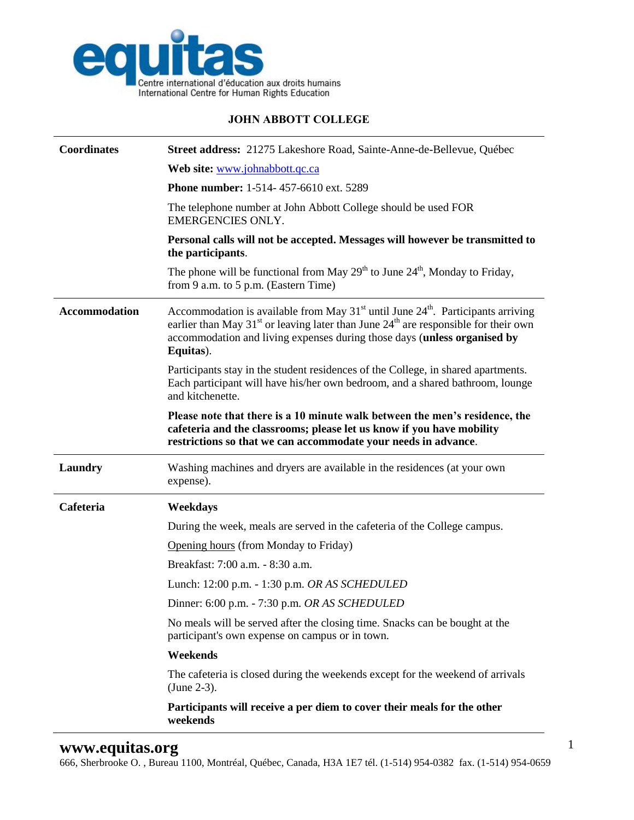

## **JOHN ABBOTT COLLEGE**

| <b>Coordinates</b>   | Street address: 21275 Lakeshore Road, Sainte-Anne-de-Bellevue, Québec                                                                                                                                                                                                                                  |
|----------------------|--------------------------------------------------------------------------------------------------------------------------------------------------------------------------------------------------------------------------------------------------------------------------------------------------------|
|                      | Web site: www.johnabbott.qc.ca                                                                                                                                                                                                                                                                         |
|                      | Phone number: 1-514-457-6610 ext. 5289                                                                                                                                                                                                                                                                 |
|                      | The telephone number at John Abbott College should be used FOR<br><b>EMERGENCIES ONLY.</b>                                                                                                                                                                                                             |
|                      | Personal calls will not be accepted. Messages will however be transmitted to<br>the participants.                                                                                                                                                                                                      |
|                      | The phone will be functional from May $29^{th}$ to June $24^{th}$ , Monday to Friday,<br>from 9 a.m. to 5 p.m. (Eastern Time)                                                                                                                                                                          |
| <b>Accommodation</b> | Accommodation is available from May 31 <sup>st</sup> until June 24 <sup>th</sup> . Participants arriving<br>earlier than May 31 <sup>st</sup> or leaving later than June $24th$ are responsible for their own<br>accommodation and living expenses during those days (unless organised by<br>Equitas). |
|                      | Participants stay in the student residences of the College, in shared apartments.<br>Each participant will have his/her own bedroom, and a shared bathroom, lounge<br>and kitchenette.                                                                                                                 |
|                      | Please note that there is a 10 minute walk between the men's residence, the<br>cafeteria and the classrooms; please let us know if you have mobility                                                                                                                                                   |
|                      | restrictions so that we can accommodate your needs in advance.                                                                                                                                                                                                                                         |
| Laundry              | Washing machines and dryers are available in the residences (at your own<br>expense).                                                                                                                                                                                                                  |
| Cafeteria            | Weekdays                                                                                                                                                                                                                                                                                               |
|                      | During the week, meals are served in the cafeteria of the College campus.                                                                                                                                                                                                                              |
|                      | Opening hours (from Monday to Friday)                                                                                                                                                                                                                                                                  |
|                      | Breakfast: 7:00 a.m. - 8:30 a.m.                                                                                                                                                                                                                                                                       |
|                      | Lunch: 12:00 p.m. - 1:30 p.m. OR AS SCHEDULED                                                                                                                                                                                                                                                          |
|                      | Dinner: 6:00 p.m. - 7:30 p.m. OR AS SCHEDULED                                                                                                                                                                                                                                                          |
|                      | No meals will be served after the closing time. Snacks can be bought at the<br>participant's own expense on campus or in town.                                                                                                                                                                         |
|                      | Weekends                                                                                                                                                                                                                                                                                               |
|                      | The cafeteria is closed during the weekends except for the weekend of arrivals<br>$(June 2-3)$ .                                                                                                                                                                                                       |

666, Sherbrooke O. , Bureau 1100, Montréal, Québec, Canada, H3A 1E7 tél. (1-514) 954-0382 fax. (1-514) 954-0659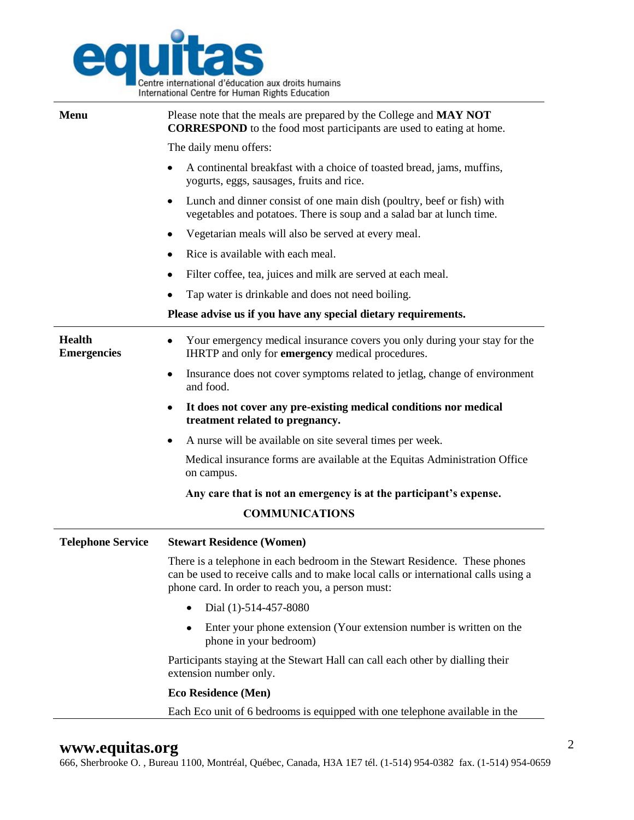

| Menu                                | Please note that the meals are prepared by the College and MAY NOT<br><b>CORRESPOND</b> to the food most participants are used to eating at home.                                                                       |
|-------------------------------------|-------------------------------------------------------------------------------------------------------------------------------------------------------------------------------------------------------------------------|
|                                     | The daily menu offers:                                                                                                                                                                                                  |
|                                     | A continental breakfast with a choice of toasted bread, jams, muffins,<br>yogurts, eggs, sausages, fruits and rice.                                                                                                     |
|                                     | Lunch and dinner consist of one main dish (poultry, beef or fish) with<br>vegetables and potatoes. There is soup and a salad bar at lunch time.                                                                         |
|                                     | Vegetarian meals will also be served at every meal.                                                                                                                                                                     |
|                                     | Rice is available with each meal.                                                                                                                                                                                       |
|                                     | Filter coffee, tea, juices and milk are served at each meal.                                                                                                                                                            |
|                                     | Tap water is drinkable and does not need boiling.                                                                                                                                                                       |
|                                     | Please advise us if you have any special dietary requirements.                                                                                                                                                          |
| <b>Health</b><br><b>Emergencies</b> | Your emergency medical insurance covers you only during your stay for the<br>IHRTP and only for emergency medical procedures.                                                                                           |
|                                     | Insurance does not cover symptoms related to jetlag, change of environment<br>$\bullet$<br>and food.                                                                                                                    |
|                                     | It does not cover any pre-existing medical conditions nor medical<br>treatment related to pregnancy.                                                                                                                    |
|                                     | A nurse will be available on site several times per week.                                                                                                                                                               |
|                                     | Medical insurance forms are available at the Equitas Administration Office<br>on campus.                                                                                                                                |
|                                     | Any care that is not an emergency is at the participant's expense.                                                                                                                                                      |
|                                     | <b>COMMUNICATIONS</b>                                                                                                                                                                                                   |
| <b>Telephone Service</b>            | <b>Stewart Residence (Women)</b>                                                                                                                                                                                        |
|                                     | There is a telephone in each bedroom in the Stewart Residence. These phones<br>can be used to receive calls and to make local calls or international calls using a<br>phone card. In order to reach you, a person must: |
|                                     | Dial (1)-514-457-8080<br>$\bullet$                                                                                                                                                                                      |
|                                     | Enter your phone extension (Your extension number is written on the<br>$\bullet$<br>phone in your bedroom)                                                                                                              |
|                                     | Participants staying at the Stewart Hall can call each other by dialling their<br>extension number only.                                                                                                                |
|                                     | <b>Eco Residence (Men)</b>                                                                                                                                                                                              |
|                                     | Each Eco unit of 6 bedrooms is equipped with one telephone available in the                                                                                                                                             |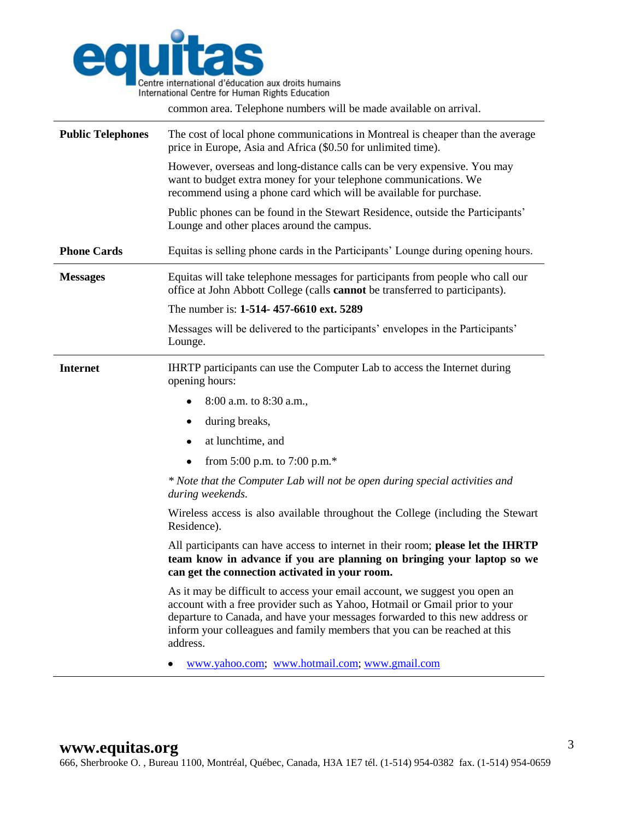

common area. Telephone numbers will be made available on arrival.

| <b>Public Telephones</b> | The cost of local phone communications in Montreal is cheaper than the average<br>price in Europe, Asia and Africa (\$0.50 for unlimited time).                                                                                                                                                                                    |
|--------------------------|------------------------------------------------------------------------------------------------------------------------------------------------------------------------------------------------------------------------------------------------------------------------------------------------------------------------------------|
|                          | However, overseas and long-distance calls can be very expensive. You may<br>want to budget extra money for your telephone communications. We<br>recommend using a phone card which will be available for purchase.                                                                                                                 |
|                          | Public phones can be found in the Stewart Residence, outside the Participants'<br>Lounge and other places around the campus.                                                                                                                                                                                                       |
| <b>Phone Cards</b>       | Equitas is selling phone cards in the Participants' Lounge during opening hours.                                                                                                                                                                                                                                                   |
| <b>Messages</b>          | Equitas will take telephone messages for participants from people who call our<br>office at John Abbott College (calls cannot be transferred to participants).                                                                                                                                                                     |
|                          | The number is: 1-514-457-6610 ext. 5289                                                                                                                                                                                                                                                                                            |
|                          | Messages will be delivered to the participants' envelopes in the Participants'<br>Lounge.                                                                                                                                                                                                                                          |
| <b>Internet</b>          | IHRTP participants can use the Computer Lab to access the Internet during<br>opening hours:                                                                                                                                                                                                                                        |
|                          | 8:00 a.m. to 8:30 a.m.,<br>٠                                                                                                                                                                                                                                                                                                       |
|                          | during breaks,<br>٠                                                                                                                                                                                                                                                                                                                |
|                          | at lunchtime, and<br>٠                                                                                                                                                                                                                                                                                                             |
|                          | from 5:00 p.m. to 7:00 p.m. $*$<br>٠                                                                                                                                                                                                                                                                                               |
|                          | * Note that the Computer Lab will not be open during special activities and<br>during weekends.                                                                                                                                                                                                                                    |
|                          | Wireless access is also available throughout the College (including the Stewart<br>Residence).                                                                                                                                                                                                                                     |
|                          | All participants can have access to internet in their room; please let the IHRTP<br>team know in advance if you are planning on bringing your laptop so we<br>can get the connection activated in your room.                                                                                                                       |
|                          | As it may be difficult to access your email account, we suggest you open an<br>account with a free provider such as Yahoo, Hotmail or Gmail prior to your<br>departure to Canada, and have your messages forwarded to this new address or<br>inform your colleagues and family members that you can be reached at this<br>address. |
|                          | www.yahoo.com; www.hotmail.com; www.gmail.com                                                                                                                                                                                                                                                                                      |